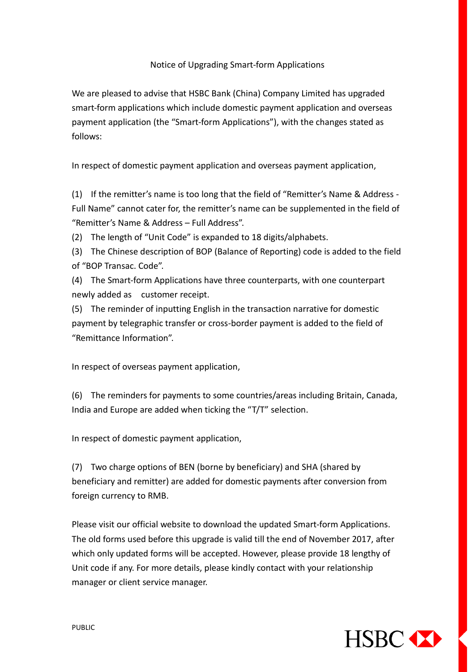## Notice of Upgrading Smart-form Applications

We are pleased to advise that HSBC Bank (China) Company Limited has upgraded smart-form applications which include domestic payment application and overseas payment application (the "Smart-form Applications"), with the changes stated as follows:

In respect of domestic payment application and overseas payment application,

(1) If the remitter's name is too long that the field of "Remitter's Name & Address - Full Name" cannot cater for, the remitter's name can be supplemented in the field of "Remitter's Name & Address – Full Address".

(2) The length of "Unit Code" is expanded to 18 digits/alphabets.

(3) The Chinese description of BOP (Balance of Reporting) code is added to the field of "BOP Transac. Code".

(4) The Smart-form Applications have three counterparts, with one counterpart newly added as customer receipt.

(5) The reminder of inputting English in the transaction narrative for domestic payment by telegraphic transfer or cross-border payment is added to the field of "Remittance Information".

In respect of overseas payment application,

(6) The reminders for payments to some countries/areas including Britain, Canada, India and Europe are added when ticking the "T/T" selection.

In respect of domestic payment application,

(7) Two charge options of BEN (borne by beneficiary) and SHA (shared by beneficiary and remitter) are added for domestic payments after conversion from foreign currency to RMB.

Please visit our official website to download the updated Smart-form Applications. The old forms used before this upgrade is valid till the end of November 2017, after which only updated forms will be accepted. However, please provide 18 lengthy of Unit code if any. For more details, please kindly contact with your relationship manager or client service manager.